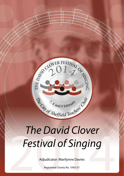

# The David Clover<br>Festival of Singing<br>Adjudicator: Marilynne Davies *The David Clover Festival of Singing*

Adjudicator: Marilynne Davies

Registered Charity No. 1043131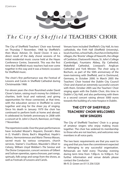

# The City of  $S$ heffield TEACHERS' CHOIR

The City of Sheffield Teachers' Choir was formed on Thursday 7 November, 1968 by Sheffield's then Music Adviser, Dr. David Clover. It was a direct result of the daily choral sessions of his initial residential music course held at the Hayes Conference Centre, Swanwick. This was the first time that Sheffield music teachers had ever come together in this way and it was a historic occasion for Sheffield music.

The choir's first performance was the Festival of Lessons and Carols in Sheffield Cathedral during Christmastide 1968.

For eleven years the choir flourished under David Clover's baton, raising much money for children's charities, both local and national, and giving opportunities for those connected, at that time, with the education service in Sheffield to come together and sing for the sheer joy of singing. Since his death in January 1979 the choir has continued to perform both at home and abroad. It celebrated its fortieth anniversary in 2008 with a concert at St. John's Church, Ranmoor, on Friday 7 November.

The repertoire is wide. Over the years performances have included Mozart's *Requiem,* Dvorak's *Mass in D,* Vivaldi's *Gloria,* Bach's *Magnificat,* Haydn's *Nelson, Harmoniemesse and Maria Theresa Masses*, sacred music by various composers, church services, Stainer's *Crucifixion,* Maunder's *Olivet to Calvary,* William Lloyd Webber's *The Saviour* and *The Divine Compassion*, concert versions of Gilbert and Sulivan operettas, opera choruses, part songs, spirtuals, folk songs and songs from the shows, as well as Festivals of Lessons and Carols.

Venues have included Sheffield's City Hall, its two cathedrals, the Firth Hall (Sheffield University), local churches, school halls, churches in Derbyshire villages, the 'Bronte' village of Haworth, the village of Castleton, Chatsworth House, St. John's College (Cambridge), Fountains Abbey, Ely Cathedral, Wakefield Cathedral, Liverpool's Anglican Cathedral and York Minster. The choir sang in Bochum, as part of the 50th anniversary of the town-twinning with Sheffield, and in Dortmund, Germany, in October 2000. In March 2005 the Teachers' Choir hosted the Dublin City Council Choir and shared an extremely successful concert with them. October 2005 saw the Teachers' Choir singing again with the Dublin Choir, this time in Dublin's City Hall, and also performing with them in a second concert raising almost 5000 euros towards the building of a new hospice in Dublin.

## **THE CITY OF SHEFFIELD TEACHERS' CHOIR WELCOMES NEW SINGERS**

The City of Sheffield Teachers' Choir is a group of amateur singers who enjoy making music together. The choir has widened its membership to those who are not teachers, and welcomes new members in all voice parts.

The two basic requirements are that you want to sing and that you have the commitment expected in belonging to any successful organisation. Rehearsals are held every Thursday evening during term time from 7.00p.m. to 9.00p.m. For further information and venue details please contact the Conductor:

Mr R. D. Green on 0113 256 5320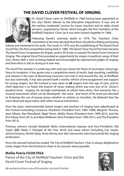# **THE David Clover Festival of Singing**



Dr. David Clover came to Sheffield in 1966 having been appointed as the city's Music Adviser to the Education Department. It was one of the earliest residential courses for music teachers and its daily choral sessions, organised by David, which brought the first members of the Sheffield Teachers' Choir (as it was then known) together in 1968.

Following David's untimely death in 1979, The Teachers' Choir committee at the time decided that there should be a fitting and lasting

tribute and memorial to his work. The result, in 1979, was the establishing of *The David Clover Vocal Prize*, the first competition being held in 1980. *The David Clover Vocal Prize* later became *The David Clover Competition for Singers*, and in 2010 was re-named *The David Clover Festival of Singing*. The original *Vocal Prize* provided an opportunity for singers to perform songs of their own choice with a view to being helped and encouraged by experienced judges of singing, and that ethos is still as strong as it ever was.

*The Vocal Prize* started in a small way with only two classes for those of secondary school age. Since its inception, it has grown into a competitive event of worth, high standing, credibility and stature in the eyes of discerning musicians not only in and around the city of Sheffield, but also nationally. It has also proved itself a worthy vehicle of encouragement and support for young singers, but the Festival is now open to **all** singers from the age of nine, and its chief objective is to foster this branch of music making which was ever one of Dr. Clover's greatest loves - singing. He strongly maintained, as others have done, that everyone has a musical instrument which can be developed - the voice - and much of his work was devoted to fostering the use of young voices whether as soloists or choralists. He believed that the voice deserved equal status with other musical instruments.

Over the years, internartionally famed singers and teachers of singing have adjudicated at the Festival inclcuding Constance Shacklock (President from 1985-1999), Marjorie Thomas, Jean Allister, Rae Woodland, Nigel Perrin, Mollie Petrie (President from 1999-2013, and the first Patron from 2013) and Mark Wildman (Vice President from 1999-2013, and The President from 2013).

Previous winners include Elizabeth Watts (international soprano and Vice-President), Ella Taylor (BBC Radio 2 Choirgirl of the Year 2010) and many others (including Cari Searle, Jessica Greaves, Harriet Eyley, Anna Harvey and John Savournin) who have joined the singing professions.

Once the annual Festival has ended, *The City of Sheffield Teachers' Choir* is always delighted to invite singers from the Festival to share in its concerts when possible.

## **Mollie Petrie** *FGSM FRSA*

Patron of the City of Sheffield Teachers' Choir and the David Clover Festival of Singing



*My warmest wishes to you all for another successful Festival.*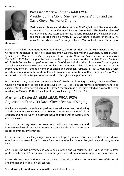

three years.

## **Professor Mark Wildman** *FRAM FRSA*  President of the City of Sheffield Teachers' Choir and the David Clover Festival of Singing

Mark received his early musical education at The King's School, Gloucester and as a chorister in Gloucester Cathedral. Later on he studied at The Royal Academy of Music where he was awarded the Westmorland Scholarship, the Recital Diploma and the Frederick Slinn Fellowship. In 1976, whilst still a student at the RAM, he won a Choral Exhibition at St. George's Chapel, Windsor Castle, where he sang for

Mark has traveled throughout Europe, Scandinavia, the British Isles and the USA, where as well as works from the standard repertoire, engagements have included Walton's *Belshazzar's Feast*, Mahler's *Symphony of a Thousand*, Elgar's *The Kingdom*, Stravinsky's *Les Noces* and *Pulcinella* and Rachmaninov's *The Bells*. In 1976 Mark sang in the first of a series of performances of the complete Church Cantatas of J.S. Bach. To date he has performed nearly 200 of these including the solo cantatas *Ich habe genug* and *Ich will den Kreuzstab gerne tragen*. He has sung with most of Britain's foremost orchestras, at the Promenade concerts and at a number of British and European Festivals. In recital, Mark has a wide repertoire ranging from the works of Purcell, Boyce and Arne to those of Roger Steptoe, Philip White, Arthur Wills and Giles Swayne, of whose works he has given first performances.

He combines a busy performing career with that of a Professor of Singing at the Royal Academy of Music where he was appointed Head of Vocal Studies in 1991. He is a much travelled adjudicator and is an examiner for the Associated Board of the Royal Schools of Music. He was elected a Fellow of the Royal Academy of Music in 1994 and a fellow of the Royal Society of Arts in 1995.

**Marilynne Davies** *BA, M.Ed, LRAM, PGCA, FRSA* Adjudicator of the 2014 David Clover Festival of Singing

Marilynne's experience embraces performance, education and conducting and she was until recently Head of the School of Performance at the College of Ripon and York St.John, a post that included Music, Dance, Drama, Film and Television.

She now has a busy freelance career as an adjudicator at national and international festivals, as a voice consultant, teacher and conductor, and as a leader of a variety of workshops.



Her experience in teaching ranges from nursery to post-graduate levels and she has been external examiner and assessor in performance for a number of universities at the graduate and postgraduate level.

As a singer she has performed in opera and oratorio and as recitalist. She has sung with a small professional choir of 20 voices with whom she gave first performances of newly commissioned works.

In 2011 she was honoured to be one of the first of two Music adjudicators made Fellows of the British and International Federation of Festivals.

She is looking forward to returning to the David Clover Festival.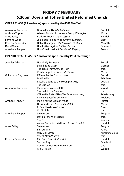# **FRIDAY 7 FEBRUARY 6.30pm Dore and Totley United Reformed Church**

## **OPERA CLASS (22 and over) sponsored by the ISM Sheffield**

| Alexandra Robinson      | Donde Lieta Uscì (La Bohème)                 | Puccini   |
|-------------------------|----------------------------------------------|-----------|
| <b>Anthony Trippett</b> | When a Maiden Takes Your Fancy (Il Seraglio) | Mozart    |
| Anne Bailey             | V'adoro, Pupille (Giulio Cesare)             | Handel    |
| Lorraine Webb           | Je dis que rien ne m'épouvante (Carmen)      | Bizet     |
| Rebecca Schneider       | Hello! O Margaret, It's You (The Telephone)  | Menotti   |
| David Walters           | Una furtiva lagrima (L'Elisir d'amore)       | Donizetti |
| Annabelle Pepper        | Una Voce Poco Fa (Il Barbiere di Siviglia)   | Rossini   |

## **OPEN RECITAL CLASS (22 and over) sponsored by Paul Clerehugh**

| Jennifer Atkinson       | Not all My Torments                      | Purcell         |
|-------------------------|------------------------------------------|-----------------|
|                         | Les Filles de Cadix                      | Viardot         |
|                         | The Trees They Grow so High              | trad.           |
|                         | Voi che sapete (Le Nozze di Figaro)      | Mozart          |
| Gillian von Fragstein   | If Music be the Food of Love             | Purcell         |
|                         | Die Forelle                              | Schubert        |
|                         | Rusalka's Song to the Moon (Rusalka)     | Dvorak          |
|                         | The Cuckoo                               | trad.           |
| Alexandra Robinson      | Vieni, vieni, o mio diletto              | Vivaldi         |
|                         | The Lark in the Clear Air                | trad.           |
|                         | CTPAWHAR MUHYTA (The Fearful Moment)     | Tchaikovsky     |
|                         | Il Vole (Fiançailles pour rire)          | Poulenc         |
| <b>Anthony Trippett</b> | Man is for the Woman Made                | Purcell         |
|                         | O Isis und Osiris (Die Zauberflöte)      | Mozart          |
|                         | El Caudillo de los Ciento                | Cruz            |
|                         | Oh No John                               | trad.           |
| Annabelle Pepper        | Se tu m'ami                              | Pergolesi       |
|                         | David of the White Rock                  | trad.           |
|                         | Sleep                                    | Gurney          |
|                         | Awake Saturnia  Iris Hence Away (Semele) | Handel          |
| Anne Bailey             | Se tu m'ami                              | Pergolesi       |
|                         | En Sourdine                              | Fauré           |
|                         | Why Do I Love?                           | Armstrong Gibbs |
|                         | <b>Sweet Afton Waters</b>                | trad.           |
| Rebecca Schneider       | Mio Caro Bene (Rodelinda)                | Handel          |
|                         | Sorrow Stay                              | Dowland         |
|                         | Come You Not From Newcastle              | trad.           |
|                         | Old Sir Faulk                            | Walton          |
|                         |                                          |                 |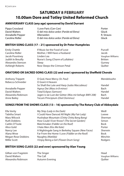# **SATURDAY 8 FEBRUARY 10.00am Dore and Totley United Reformed Church**

#### **ANNIVERSARY CLASS (any age) sponsored by David Durrant**

| Pippa Crossland  | I Love Paris (Can-Can)                  | Porter     |
|------------------|-----------------------------------------|------------|
| David Walters    | O del mio dolce ardor (Paride ed Elena) | Gluck      |
| Annabelle Pepper | Allerseelen                             | R. Strauss |
| Caroline Ridler  | O del mio dolce ardor (Paride ed Elena) | Gluck      |

#### **BRITISH SONG CLASS (17 – 21) sponsored by Dr Peter Humphries**

| <b>Emily Chattle</b> | If Music be the Food of Love      | Purcell          |
|----------------------|-----------------------------------|------------------|
| Caroline Ridler      | Mother, I Will Have a Husband     | Jacob            |
| Jacob Pountney       | Linden Lea                        | Vaughan Williams |
| Judith le Breuilly   | Nurse's Song (Charm of Lullabies) | <b>Britten</b>   |
| Alexandra Stenson    | Sleep                             | Gurney           |
| Ashleigh Roberts     | Now Sleeps the Crimson Petal      | Ouilter          |

#### **ORATORIO OR SACRED SONG CLASS (22 and over) sponsored by Sheffield Chorale**

| <b>Anthony Trippett</b> | O God, Have Mercy (St. Paul)                           | Mendelssohn |
|-------------------------|--------------------------------------------------------|-------------|
| Rebecca Schneider       | O Grant it Heaven                                      |             |
|                         | So Shall the Lute and Harp (Judas Maccabeus)           | Handel      |
| Annabelle Pepper        | Agnus Dei (Mass in B minor)                            | Bach        |
| David Walters           | Total Eclipse (Samson)                                 | Handel      |
| Alexandra Robinson      | Jagen is sie Lust der Götter (Was mir behagt: BWV 208) | Bach        |
| Anne Bailey             | Tecum Principium (Dixit Dominus)                       | Handel      |

#### **SONGS FROM THE SHOWS CLASS (13 – 16) sponsored by The Rotary Club of Abbeydale**

| Ella Verity          | My Ship (Lady in the Dark)                        | Weill       |
|----------------------|---------------------------------------------------|-------------|
| <b>Tabitha Smart</b> | I Could Have Danced All Night (My Fair Lady)      | Loewe       |
| Mary Wilcock         | Hushabye Mountain (Chitty Chitty Bang Bang)       | Sherman     |
| <b>Ruth Dobbins</b>  | How Could I Ever Know? (The Secret Garden)        | Simon       |
| Caitlin O'Toole      | Matchmaker (Fiddler on the Roof)                  | <b>Bock</b> |
| Alice Gold           | I Hate Men (Kiss Me Kate)                         | Porter      |
| Nancy Lee            | A Nightingale Sang in Berkeley Square (New Faces) | Sherwin     |
| Alana Wroe           | Far From the Home I Love (Fiddler on the Roof)    | <b>Bock</b> |
| Megan-Rose Dobbins   | Naughty (Matilda)                                 | Minchin     |
| <b>Millie Scott</b>  | I Enjoy Being a Girl (Flower Drum Song)           | Rodaers     |

#### **BRITISH SONG CLASS (22 and over) sponsored by Alan Young**

| Gillian von Fragstein | The Singer     | Head             |
|-----------------------|----------------|------------------|
| David Walters         | The Call       | Vaughan Williams |
| Alexandra Robinson    | Autumn Evening | Ouilter          |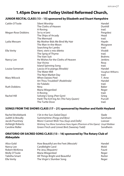#### DCFS 2014 | 7

## **1.45pm Dore and Totley United Reformed Church,**

## **JUNIOR RECITAL CLASS (13 – 15) sponsored by Elizabeth and Stuart Hampshire**

| Caitlin O'Toole     | Silent Worship                          | Handel           |
|---------------------|-----------------------------------------|------------------|
|                     | The Cloths of Heaven                    | Dunhill          |
|                     | A-Roving                                | trad.            |
| Megan-Rose Dobbins  | Se tu m'ami                             | Pergolesi        |
|                     | The Ships of Arcady                     | Head             |
|                     | The Mermaid                             | trad.            |
| Lydia Messam        | My Mother Bids Me Bind My Hair          | Haydn            |
|                     | The Man-in-the-Moon                     | Musgrave         |
|                     | Searching for Lambs                     | trad.            |
| Ella Verity         | Vieni, vieni o mio diletto              | Vivaldi          |
|                     | The Sprig of Thyme                      | trad.            |
|                     | The Vain Suit                           | <b>Brahms</b>    |
| Nancy Lee           | He Wishes for the Cloths of Heaven      | <b>Jenkins</b>   |
|                     | <b>Star Vicino</b>                      | Rosa             |
|                     | <b>Island Spinning Song</b>             | trad.            |
| Louise Somerset     | Lascia ch'io pianga (Rinaldo)           | Handel           |
|                     | The Water Mill                          | Vaughan Williams |
|                     | The Next Market Day                     | trad.            |
| Mary Wilcock        | <b>When Daisies Pied</b>                | T. Arne          |
|                     | Art Thou Troubled? (Rodelinda)          | Handel           |
|                     | Air Falalalo                            | trad.            |
| <b>Ruth Dobbins</b> | Nina                                    | <b>Baker</b>     |
|                     | Maria Wiegenlied                        | Reger            |
|                     | A-Roving                                | trad.            |
| <b>Rachel Hill</b>  | Solveig's Song (Peer Gynt)              | Grieg            |
|                     | Hark! The Ech'ing Air (The Fairy Queen) | Purcell          |
|                     | The Turtle Dove                         | trad.            |

#### **SONGS FROM THE SHOWS CLASS (17 – 21) sponsored by Heather and Keith Hoyland**

| Rachel Bricklebank | I Sit in the Sun (Salad Days)                                           | Slade    |
|--------------------|-------------------------------------------------------------------------|----------|
| Judith le Breuilly | Summertime (Porgy and Bess)                                             | Gershwin |
| Jacob Pountney     | More I Cannot Wish You (Guys and Dolls)                                 | Loesser  |
| Ashleigh Roberts   | Wishing You Were Somehow Here Again (Phantom of the Opera) Lloyd Webber |          |
| Caroline Ridler    | Green Finch and Linnet Bird (Sweeney Todd)                              | Sondheim |

#### **ORATORIO OR SACRED SONG CLASS (13 – 16) sponsored by The Rotary Club of Abbeydale**

| Alice Gold     | How Beautiful are the Feet (Messiah) | Handel |
|----------------|--------------------------------------|--------|
| Nancy Lee      | Candlelight Carol                    | Mold   |
| Robert McKinna | Pie Jesu (Requiem)                   | Fauré  |
| Molly O'Toole  | Maria Wiegenlied                     | Reger  |
| Tabitha Smart  | All Things Bright and Beautiful      | Rutter |
| Ella Verity    | The Virgin's Slumber Song            | Reger  |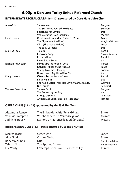## **6.00pm Dore and Totley United Reformed Church**

#### **INTERMEDIATE RECITAL CLASS (16 – 17) sponsored by Dore Male Voice Choir**

| Alice Gold           | Se tu m'ami                                     | Pergolesi          |
|----------------------|-------------------------------------------------|--------------------|
|                      | The Sun Whos Rays (The Mikado)                  | Sullivan           |
|                      | Searching for Lambs                             | trad.              |
|                      | Vedrai, carino (Don Giovanni)                   | Mozart             |
| Lydia Honey          | O del mio dolce ardor (Paride ed Elena)         | Gluck              |
|                      | The Sky Above the Roof                          | Vaughan Williams   |
|                      | Vilija (The Merry Widow)                        | Lehar              |
|                      | The Sally Gardens                               | trad.              |
| Molly O'Toole        | Tu lo sai                                       | Torelli            |
|                      | Everyone Sang                                   | Sasson / Higginson |
|                      | E' Luccellino                                   | Puccini            |
|                      | Lewis Bridal Song                               | trad.              |
| Rachel Bricklebank   | If Music be the Food of Love                    | Purcell            |
|                      | Dans les Ruines d'une Abbaye                    | Fauré              |
|                      | Young Love Lies Sleeping                        | Somervell          |
|                      | Ho-ru, Ho-ro, My Little Wee Girl                | trad.              |
| <b>Emily Chattle</b> | If Music be the Food of Love                    | Purcell            |
|                      | <b>Fidgety Bairn</b>                            | trad.              |
|                      | She had a Letter From Her Love (Merrie England) | German             |
|                      | Die Forelle                                     | Schubert           |
| Vanessa Frampton     | Se tu m 'ami                                    | Pergolesi          |
|                      | The Bonny Lighter Boy                           | trad.              |
|                      | El Majo Discreto                                | Granados           |
|                      | Angels Ever Bright and Fair (Theodora)          | Handel             |

## **OPERA CLASS (17 – 21) sponsored by the ISM Sheffield**

| Alexandra Stenson  | The Embroidery Aria (Peter Grimes)      | Britten |
|--------------------|-----------------------------------------|---------|
| Vanessa Frampton   | Voi che sapete (Le Nozze di Figaro)     | Mozart  |
| Judith le Breuilly | E amore un ladroncello (Così fan Tutte) | Mozart  |

#### **BRITISH SONG CLASS (13 – 16) sponsored by Wendy Nutton**

| Mary Wilcock   | Sweet Kate                            | Jones           |
|----------------|---------------------------------------|-----------------|
| Alice Gold     | Corpus Christi                        | <b>Britten</b>  |
| Robert McKinna | Dusk                                  | Armstrong Gibbs |
| Tabitha Smart  | <b>You Spotted Snakes</b>             | Armstrong Gibbs |
| Ella Verity    | I Attempt From Love's Sickness to Fly | Purcell         |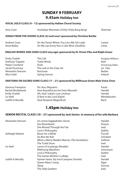# **SUNDAY 9 FEBRUARY 9.45am Holiday Inn**

#### **VOCAL SOLO CLASS (9 – 12) sponsored by Hallam Choral Society**

| Hushabye Mountain (Chitty Chitty Bang Bang)<br>Amy Coan                |                                               | Sherman |  |
|------------------------------------------------------------------------|-----------------------------------------------|---------|--|
| SONGS FROM THE SHOWS CLASS (22 and over) sponsored by Christine Barkla |                                               |         |  |
| Andrew Coan                                                            | On the Street Where You Live (My Fair Lady)   | Loewe   |  |
| Anne Bailey                                                            | On My Lips Every Kiss is Like Wine (Giuditta) | Lehar   |  |

#### **ENGLISH WORDS AND SONG CLASS (any age) sponsored by Dr Vivien Pike and Ralph Green**

| <b>Emily Chattle</b>    | The Call                  | Vaughan Williams |
|-------------------------|---------------------------|------------------|
| <b>Anthony Trippett</b> | Trade Winds               | Keel             |
| Pippa Crossland         | Dusk                      | Armstrong Gibbs  |
| Jacob Pountney          | The Lark in the Clear Air | arr. Tate        |
| Alexandra Stenson       | <b>Nocturne</b>           | Barber           |
| Alice Gold              | <b>Spring Sorrow</b>      | Ireland          |

#### **ORATORIO OR SACRED SONG CLASS (17 – 21) sponsored by Millhouse Green Male Voice Choir**

| Vanessa Frampton     | Pie Jesu (Requiem)                   | Fauré       |
|----------------------|--------------------------------------|-------------|
| Rachel Bricklebank   | How Beautiful are the Feet (Messiah) | Handel      |
| <b>Emily Chattle</b> | Oh, Had I Jubal's Lyre (Joshua)      | Handel      |
| Liv Ibell            | O Rest in the Lord (Elijah)          | Mendelssohn |
| Judith le Breuilly   | Quia Respexit (Magnificat)           | Bach        |

## **1.45pm Holiday Inn**

#### **SENIOR RECITAL CLASS (18 – 21) sponsored by Jack Senior, in memory of his wife Barbara**

| Alexandra Stenson  | Un cenno leggiadretto (Serse)                | Handel         |
|--------------------|----------------------------------------------|----------------|
|                    | Das Rosenband                                | <b>Strauss</b> |
|                    | She Moved Through the Fair                   | trad.          |
|                    | Love's Philosophy                            | Ouilter        |
| Ashleigh Roberts   | Music for a While                            | Purcell        |
|                    | Du Bist die Ruh                              | Schubert       |
|                    | When a Merry Maiden Marries (The Gondoliers) | Sullivan       |
|                    | The Turtle Dove                              | trad.          |
| Liv Ibell          | Lascia ch'io pianga (Rinaldo)                | Handel         |
|                    | Widmung (Myrthen)                            | Schumann       |
|                    | Love's Philosophy                            | Ouilter        |
|                    | The Gartan Mother's Lullaby                  | trad.          |
| Judith le Breuilly | Hymen haste, thy torch prepare (Semele)      | Handel         |
|                    | Queen Mary's Song                            | Elgar          |
|                    | Sleep                                        | Gurney         |
|                    | The Sally Gardens                            | trad.          |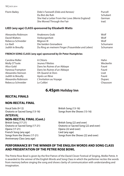| Florin Bailey | Dido's Farewell (Dido and Aeneas)               | Purcell  |
|---------------|-------------------------------------------------|----------|
|               | Du Bist die Ruh                                 | Schubert |
|               | She Had a Letter From Her Love (Merrie England) | German   |
|               | She Moved Through the Fair                      | trad.    |

#### **LIED (any age) CLASS sponsored by Elizabeth Watts**

| Alexandra Robinson | Anakreons Grab                                   | Wolf     |
|--------------------|--------------------------------------------------|----------|
| David Walters      | Verborgenheit                                    | Wolf     |
| Rebecca Schneider  | Mignon III                                       | Wolf     |
| Liv Ibell          | Die beiden Grenadiere                            | Schumann |
| Judith le Breuilly | Du Ring an meinem Finger (Frauenliebe und Leben) | Schumann |

#### **FRENCH SONG CLASS (any age) sponsored by Dr Peter Humphries**

| Caroline Ridler    | A Chloris                   | Hahn      |
|--------------------|-----------------------------|-----------|
| Molly O'Toole      | Jeunes Fillettes            | Weckerlin |
| Alice Gold         | Dans les Ruines d'un Abbaye | Fauré     |
| Vanessa Frampton   | Dans les Ruines d'un Abbaye | Fauré     |
| Alexandra Stenson  | Oh Quand Je Dors            | Liszt     |
| Judith le Breuilly | Après un Rêve               | Fauré     |
| Alexandra Robinson | L'Invitation au Voyage      | Duparc    |
| Rebecca Schneider  | Le Colibri                  | Chausson  |

## **6.45pm Holiday Inn**

#### **RECITAL FINALS**

#### **NON-RECITAL FINAL**

Vocal Solo (9-12) British Song (13-16) Oratorio or Sacred Song (13-16) Songs from the Shows (13-16) *INTERVAL*

# **NON-RECITAL FINAL (Cont.)**

Opera (17-21) Opera (22 and over) French Song (any age)<br>
Songs from the Shows (17-21)<br>
Songs from the Shows (17-21)<br>
Songs from the Shows (17-21) Anniversary Class (any age)

British Song (22 and over) Oratorio or Sacred Song (17-21) Oratorio or Sacred Song (22 and over) Songs from the Shows (22 and over)

## **Performance by the winner of the English WORDS AND Song Class and presentation of The Petrie Rose Bowl**

The Petrie Rose Bowl is given by the first Patron of the David Clover Festival of Singing, Mollie Petrie. It is awarded to the winner of the English Words and Song Class in which the performer recites the words from memory before singing the song and shows clarity of communication with understanding and imagination.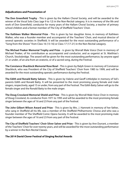#### **Adjudications and Presentation of**

**The Don Greenfield Trophy** - This is given by the Hallam Choral Society, and will be awarded to the winner of the Vocal Solo Class (age 9 to 12) in the Non-Recital category. It is in memory of the life and work of Don Greenfield, conductor for many years of the Hallam Choral Society, a teacher of primary school children and a former member of The City of Sheffield Teachers' Choir.

**The Kathleen Walker Memorial Prize** - This is given by her daughter Anne, in memory of Kathleen Walker, who was a founder member and accompanist of the Teachers' Choir, and musical director of several operatic societies in Sheffield. It will be awarded for the most outstanding performance of a "Song from the Shows" from Class 16 (13-16) or Class 17 (17-21) in the Non-Recital catagory.

**The Michael Peaker Memorial Trophy and Prize** - is given by Worrall Male Voice Choir in memory of Michael Peaker, of his contribution as accompanist and conductor, and as organist at St. Matthias's Church, Stocksbridge. The award will be given for the most outstanding performance, by anyone aged 21 or under, of an aria from an oratorio, or of a sacred song, during the Festival.

**The Constance Shacklock Memorial Rose Bowl** - This is given by Ralph Green in memory of Constance Shacklock, who was President of the City of Sheffield Teachers' Choir from 1985 to 1999, and will be awarded for the most outstanding operatic performance during the Festival.

**The Edith and Ronald Batty Salvers** - This is given by Valerie and Geoff Littledyke in memory of Val's parents Edith and Ronald Batty. It will be presented to the most promising young female and male singers, respectively, aged 15 or under, from any part of the Festival. The Edith Batty Salver will go to the female singer and the Ronald Batty to the male singer.

**The Doug Crossland Memorial Shield and Prize** - This is given by Worrall Male Voice Choir in memory of Doug Crossland, its conductor from 1971 to 1995 and will be awarded to the most promising female singer between the ages of 16 and 23 from any part of the Festival.

**The John Gilbert Wilson Award and Prize** - This is given by Mrs. J. Hamnett in memory of her father, who sang in Sheffield all his life, was a member of the Sheffield Philharmonic Chorus and who was a founder member of The Sheffield Comic Opera Society. It will be awarded to the most promising male singer between the ages of 16 and 23 from any part of the Festival.

**The City of Sheffield Teachers' Choir Silver Salver and Prize** - This is given by Ann Durrant, a member of the Teachers' Choir for over twenty years, and will be awarded for the most outstanding performance by a winner in the Non-Recital Classes.

#### **The 2014 David Clover Festival of Singing Recital Awards**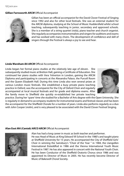#### **Gillian Farnsworth** *ARCM* Official Accompanist



Gillian has been an official accompanist for the David Clover Festival of Singing since 1992 and also for other local festivals. She was an external student for the ARCM diploma, studying at the School of Music Huddersfield whilst school teaching, subsequently teaching in junior, secondary and approved schools. She is a member of a string quartet (viola), piano teacher and church organist. She regularly accompanies instrumentalists and singers for auditions and exams and has worked with many choirs. The development of confidence and skill of singers through the Festival is always a joy to see and hear.

#### **Linda Wareham** *BA ARCM* Official Accompanist

Linda began her formal piano studies at the relatively late age of eleven. She subsequently studied music at Bretton Hall, gaining a Certificate of Education. She continued her piano studies with Vera Yelverton in London, gaining the ARCM Diploma and participating in concerts at the Alexandra Palace, the Purcell Room and the Queen Elizabeth Hall. During this time Linda also won several prizes at various London music festivals. She established a busy private piano teaching practice in Oxford, was the accompanist for the City of Oxford Choir and regularly accompanied at local musical festivals and for grade and diploma exams. After the family move to Sheffield she quickly re-established her private teaching



practice. During her 'spare' time she studied for a Bachelor of Arts degree with the Open University. She is regularly in demand to accompany students for instrumental exams and festival classes and has been the accompanist for the Sheffield Chorale for a number of years. Linda also performs regularly as a duo with John Cooper (violin), and is very pleased to be associated with the David Clover Festival Singing.

#### **Alan Eost** *MA (Cantab) ARCO ARCM* Official Accompanist



Alan has had a long career in music as both teacher and performer.

He was Head of Music at King Edward VII School in the 1980's and taught piano at Sheffield University for 15 years. He accompanied the City of Sheffield Girls' Choir in winning the Sainsbury's "Choir of the Year " in 1984, the Llangollen International Eisteddfod in 1986 and the Vienna International Youth Music Festival in 1987. He has also appeared in concert with the National Youth Choir. He has been Conductor of the Sheffield Oratorio Chorus since 1986 and was appointed its Director of Music in 2005. He has recently become Director of Music of Bakewell Choral Society.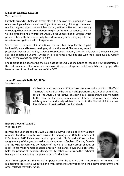#### **Elizabeth Watts** *Hon. D. Mus*

Vice-President

Elizabeth arrived in Sheffield 18 years old, with a passion for singing and a love of archaeology, which she was reading at the University. Although music was not her degree subject she took her singing seriously. Her teacher strongly encouraged her to enter competitions to gain performing experience and she was delighted to find a flyer for the David Clover Competition of Singing which provided her with the opportunity to perform many times, singing different repertoire and, gain a wealth of experience.

She is now a soprano of international renown, has sung for the English National Opera and is freelance singing all over the world. She has sung in such

prestigious venues as The Royal Opera House Covent Garden, The Santa Fe Opera, the Royal Festival Hall, and Theatre de Champs-Elysees in Paris to name a few. She also won the prestigious BBC Cardiff Singer of the World Competition in 2007.

She is proud to be sponsoring the Lied class at the DCFS as she hopes to inspire a new generation in the performance and love of wonderful music. We are equally proud that Elizabeth has kindly agreed to become one of the Vice-Presidents of the DCFS.

#### **James Kirkwood** *LRAM LTCL ARCM*

Vice-President



On David's death in January 1979 he took over the conductorship of Sheffield Teachers' Choir and with the support of Rupert Norris and the choir committee, set up 'The David Clover Festival of Singing' as a lasting tribute and memorial to this man who had done so much to direct James' future career as teacher, advisory teacher and finally adviser for music to the Sheffield L.E.A. - a post David Clover himself had held until his death.

#### **Richard Clover** *LTCL FASC*

Vice-President

Richard (the younger son of David Clover) like David studied at Trinity College of Music, London where his own passion for singing grew. Until his retirement in September 2013 Richard was senior Layclerk with Ely Cathedral Choir. He has sung in many of the great cathedrals and churches of England, Europe, Canada and the USA. Richard was Co-founder of the close harmony group 'shades of blue'. He has made numerous appearances on Radio and Television. He currently holds the position of Technical Manager at Ely Cathedral. He is also the Technical Manager for his recording company Lantern Productions.



Apart from supporting the Festival in person when he can, Richard is responsible for running and maintaining the Festival website along with compiling and type setting the Festival programme and other related Festival literature.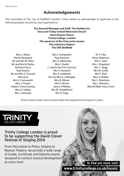# **Acknowledgements**

The committee of The City of Sheffield Teachers' Choir wishes to acknowledge its gratitude to the following people, businesses and organisations:

> **The General Manager and Staff, The Holiday Inn Dore and Totley United Reformed Church Dave Kenyon Pianos Trinity College, London The sponsors of the Class prize money The voluntary helpers The ISM Sheffield**

Miss J. Adam Rachel Bearpark Mr and Mrs M. Birks Mr and Mrs M. Bullas Richard Clover Neal Davies Mr and Mrs D. Durrant Alan Eost Mrs G. Farnsworth Miss J. Fowler Hallam Choral Society Miss D. Hallatt Mrs J. Hamnett

Mrs E. Hampshire Paul Harrison Mrs A. Hattersley Mrs F. Heath C. Herd (City Print Service) Mrs A. Howarth Mrs V. Ledbetter Mr and Mrs G. Littledyke Miss B. Moore Mrs R. Nichol James O'Malley Mrs M. Osbaldiston Mrs H. Page

Dr V. Pike Brian Robinson Mrs S. Saint Mrs J. Shapland Mrs L. Slegg Mrs M. Smith Mrs P. Wait Miss A. Walker Mrs L. Wareham Mrs J. Winslow Worrall Male Voice Choir

Those whose names were received after the programme had gone to press



## Trinity College London is proud to be supporting the David Clover Festival of Singing 2014

From Percussion to Piano, Singing to Musical Theatre, we provide a wide range of Grade, Certificate and Diploma exams designed to nurture musical development at every level.

**To find out more visit www.trinitycollege.co.uk/music**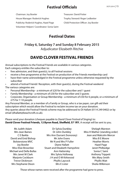# **Festival Officials**

Chairman: Joy Bowler Treasurer: David Potter House Manager: Roderick Hughes Trophy Steward: Roger Ledbetter Publicity: Roderick Hughes, Hazel Page Child Protection Officer: Joy Bowler Volunteer Helpers' Coordinator: Sonia Saint

# **Festival Dates**

## **Friday 6, Saturday 7 and Sunday 8 February 2015** Adjudicator Elizabeth Ritchie

# **DAVID CLOVER FESTIVAL FRIENDS**

Annual subscriptions to the Festival Friends are available in various categories. Each category entitles the subscriber to:

- free admission, and their guest(s), to all Festival sessions
- receive a free programme at the Festival on production of the Friends membership card
- have their name acknowledged in the Festival programme unless otherwise requested by the subscriber
- attend a Festival Friends' Reception, with their guest(s), during the Festival weekend The various categories are:
- Personal Membership a minimum of £20 for the subscriber and 1 quest
- Family Membership a minimum of £30 for the subscriber and 3 quests
- Corporate, Organisation or Group Membership a minimum of £50 for 6 people, or a minimum of £75 for 7-10 people.

Any Personal Member, or a member of a Family or Group, who is a tax payer, can gift-aid their subscription which would allow the Festival to reclaim income tax on your donation. Any queries about the Festival Friends scheme may be addressed to Di Hallatt (0114 249 0402) or by email (dhallatt@beachcroft.co.uk).

Please send your donation (cheques payable to *David Clover Festival of Singing*) to: **David Clover Festival Friends, 12 Byron Road, Sheffield, S7 1RY.** A receipt will be sent to you.

| Ms Judith Adam           | Dr Sylvia Dunkley                     | Shelagh Marston                |
|--------------------------|---------------------------------------|--------------------------------|
| Mrs Jean Baines          | Dr John Dunkley                       | Miss H Mather (standing order) |
| C E Barkla               | Mrs Ann Durrant (honorary)            | Jean and Malcolm Mercer        |
| David and Enid Bishop    | Mr John Evans                         | Miss B E Moore                 |
| <b>Bolsterstone MVC</b>  | Mr N and Mrs P Fuller                 | <b>Heather Morris</b>          |
| Joy Bowler               | Diane Hallatt                         | Hazel Page                     |
| Miss Elsie Brownlee      | <b>Stuart and Elizabeth Hampshire</b> | Janet Philbedge                |
| Michael and Della Bullas | Ann Hattersley                        | Sonia C Saint                  |
| Mrs Janet M Clark        | Mrs Sylvia Holloway                   | <b>Anthony Trippett</b>        |
| Marjorie Cockburn        | J H and O M Kirkwood                  | Mrs Mary Smith                 |
| <b>Trevor Dickinson</b>  | Phyllis Laycock                       | Phyllis Wait                   |
| Mrs Stephanie Dixon      | Mrs E Lister                          | Sheila Wilkinson               |
|                          |                                       |                                |

Those whose names were received after the programme had gone to press.